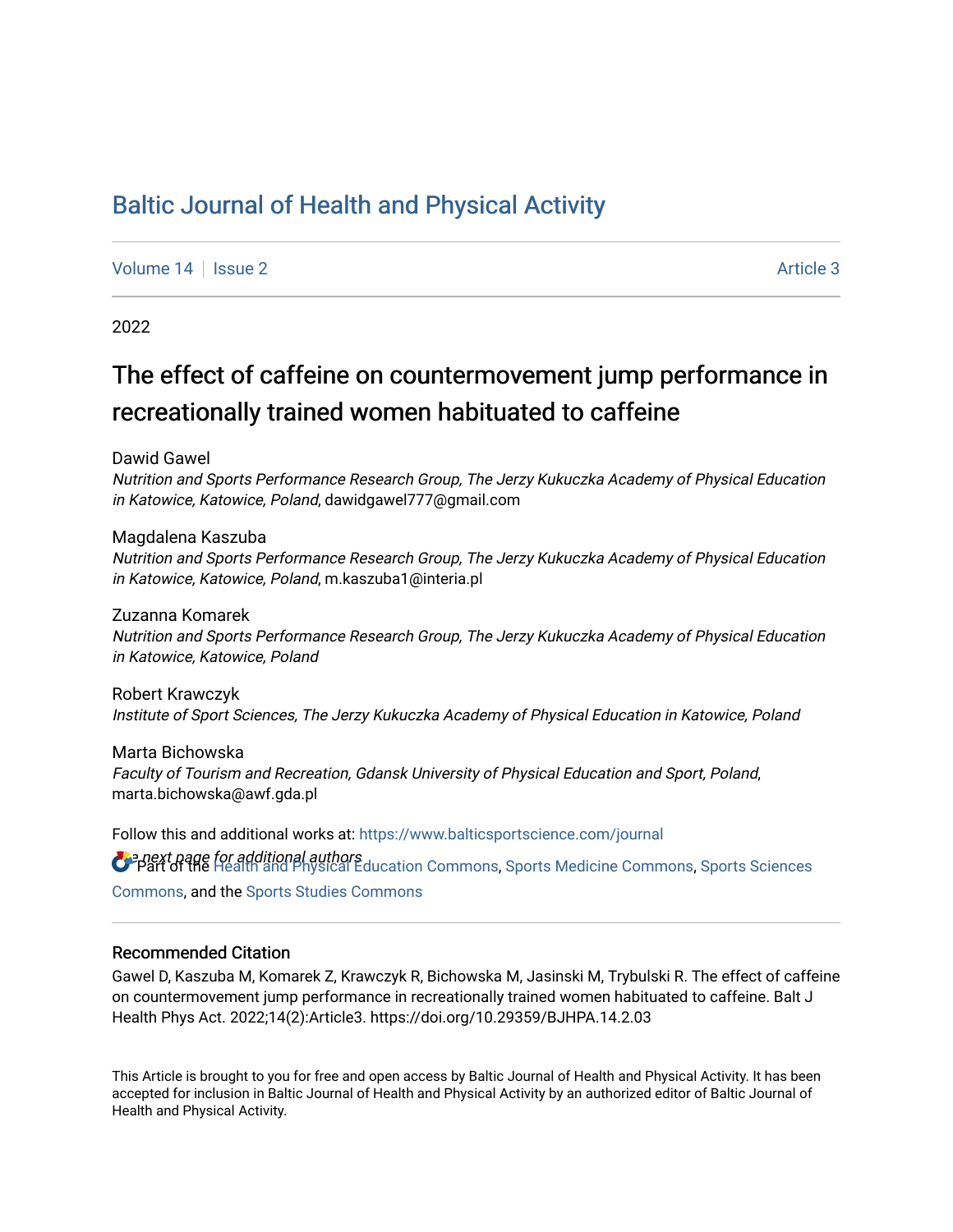# [Baltic Journal of Health and Physical Activity](https://www.balticsportscience.com/journal)

[Volume 14](https://www.balticsportscience.com/journal/vol14) | [Issue 2](https://www.balticsportscience.com/journal/vol14/iss2) Article 3

2022

# The effect of caffeine on countermovement jump performance in recreationally trained women habituated to caffeine

Dawid Gawel

Nutrition and Sports Performance Research Group, The Jerzy Kukuczka Academy of Physical Education in Katowice, Katowice, Poland, dawidgawel777@gmail.com

Magdalena Kaszuba Nutrition and Sports Performance Research Group, The Jerzy Kukuczka Academy of Physical Education in Katowice, Katowice, Poland, m.kaszuba1@interia.pl

Zuzanna Komarek Nutrition and Sports Performance Research Group, The Jerzy Kukuczka Academy of Physical Education in Katowice, Katowice, Poland

Robert Krawczyk Institute of Sport Sciences, The Jerzy Kukuczka Academy of Physical Education in Katowice, Poland

Marta Bichowska Faculty of Tourism and Recreation, Gdansk University of Physical Education and Sport, Poland, marta.bichowska@awf.gda.pl

**O** e next page for additional authors<br>O Part of the [Health and Physical Education Commons](https://network.bepress.com/hgg/discipline/1327?utm_source=www.balticsportscience.com%2Fjournal%2Fvol14%2Fiss2%2F3&utm_medium=PDF&utm_campaign=PDFCoverPages), [Sports Medicine Commons,](https://network.bepress.com/hgg/discipline/1331?utm_source=www.balticsportscience.com%2Fjournal%2Fvol14%2Fiss2%2F3&utm_medium=PDF&utm_campaign=PDFCoverPages) [Sports Sciences](https://network.bepress.com/hgg/discipline/759?utm_source=www.balticsportscience.com%2Fjournal%2Fvol14%2Fiss2%2F3&utm_medium=PDF&utm_campaign=PDFCoverPages) Follow this and additional works at: [https://www.balticsportscience.com/journal](https://www.balticsportscience.com/journal?utm_source=www.balticsportscience.com%2Fjournal%2Fvol14%2Fiss2%2F3&utm_medium=PDF&utm_campaign=PDFCoverPages)  [Commons](https://network.bepress.com/hgg/discipline/759?utm_source=www.balticsportscience.com%2Fjournal%2Fvol14%2Fiss2%2F3&utm_medium=PDF&utm_campaign=PDFCoverPages), and the [Sports Studies Commons](https://network.bepress.com/hgg/discipline/1198?utm_source=www.balticsportscience.com%2Fjournal%2Fvol14%2Fiss2%2F3&utm_medium=PDF&utm_campaign=PDFCoverPages) 

### Recommended Citation

Gawel D, Kaszuba M, Komarek Z, Krawczyk R, Bichowska M, Jasinski M, Trybulski R. The effect of caffeine on countermovement jump performance in recreationally trained women habituated to caffeine. Balt J Health Phys Act. 2022;14(2):Article3. https://doi.org/10.29359/BJHPA.14.2.03

This Article is brought to you for free and open access by Baltic Journal of Health and Physical Activity. It has been accepted for inclusion in Baltic Journal of Health and Physical Activity by an authorized editor of Baltic Journal of Health and Physical Activity.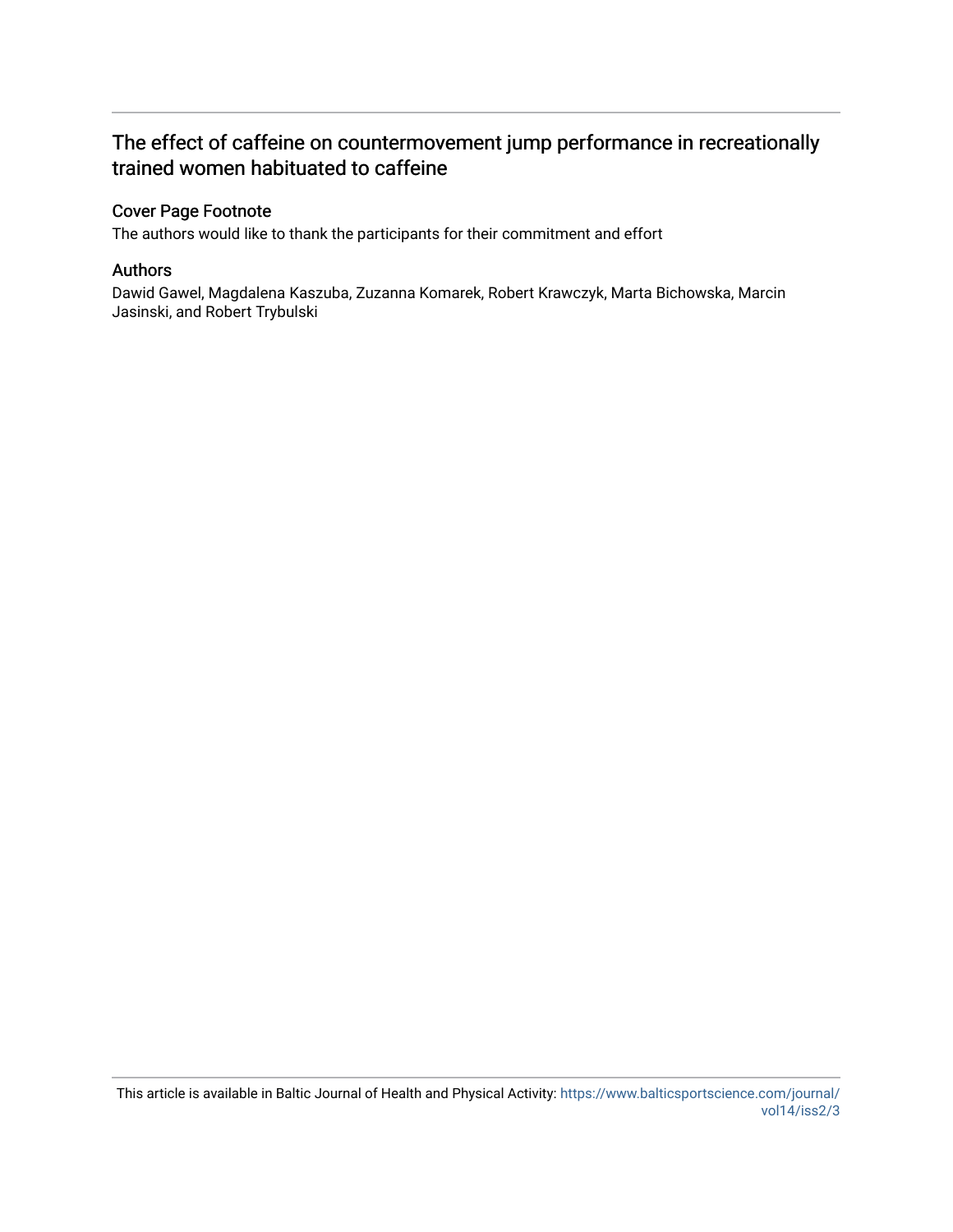## The effect of caffeine on countermovement jump performance in recreationally trained women habituated to caffeine

## Cover Page Footnote

The authors would like to thank the participants for their commitment and effort

### Authors

Dawid Gawel, Magdalena Kaszuba, Zuzanna Komarek, Robert Krawczyk, Marta Bichowska, Marcin Jasinski, and Robert Trybulski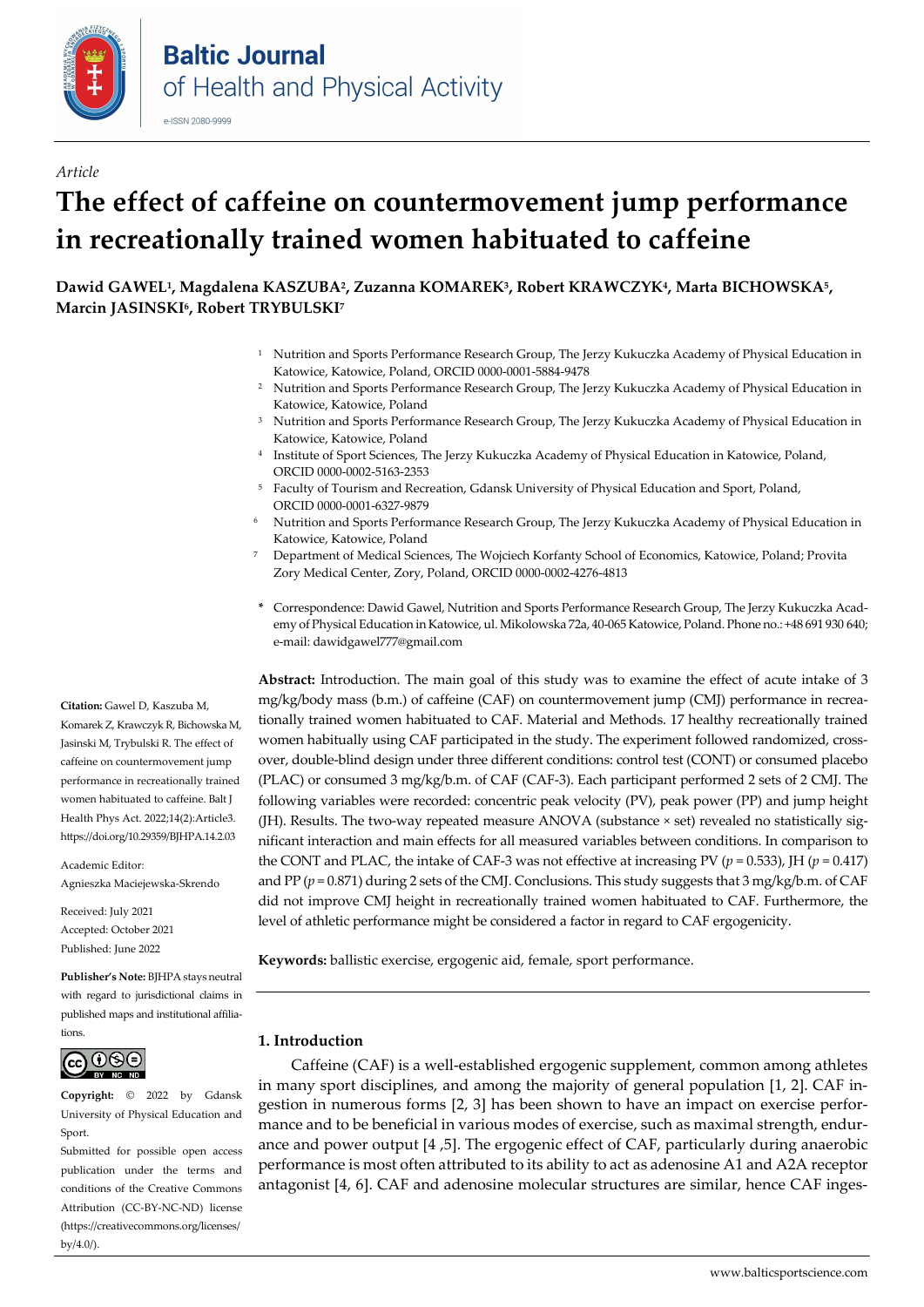

#### *Article*

# **The effect of caffeine on countermovement jump performance in recreationally trained women habituated to caffeine**

**Dawid GAWEL1, Magdalena KASZUBA2, Zuzanna KOMAREK3, Robert KRAWCZYK4, Marta BICHOWSKA5, Marcin JASINSKI6, Robert TRYBULSKI7**

- <sup>1</sup> Nutrition and Sports Performance Research Group, The Jerzy Kukuczka Academy of Physical Education in Katowice, Katowice, Poland, ORCID [0000-0001-5884-9478](https://orcid.org/0000-0001-5884-9478)
- <sup>2</sup> Nutrition and Sports Performance Research Group, The Jerzy Kukuczka Academy of Physical Education in Katowice, Katowice, Poland
- <sup>3</sup> Nutrition and Sports Performance Research Group, The Jerzy Kukuczka Academy of Physical Education in Katowice, Katowice, Poland
- <sup>4</sup> Institute of Sport Sciences, The Jerzy Kukuczka Academy of Physical Education in Katowice, Poland, ORCI[D 0000-0002-5163-2353](https://orcid.org/0000-0002-5163-2353)
- <sup>5</sup> Faculty of Tourism and Recreation, Gdansk University of Physical Education and Sport, Poland, ORCID [0000-0001-6327-9879](https://orcid.org/0000-0001-6327-9879)
- <sup>6</sup> Nutrition and Sports Performance Research Group, The Jerzy Kukuczka Academy of Physical Education in Katowice, Katowice, Poland
- <sup>7</sup> Department of Medical Sciences, The Wojciech Korfanty School of Economics, Katowice, Poland; Provita Zory Medical Center, Zory, Poland, ORCI[D 0000-0002-4276-4813](https://orcid.org/0000-0002-4276-4813)
- **\*** Correspondence: Dawid Gawel, Nutrition and Sports Performance Research Group, The Jerzy Kukuczka Academy of Physical Education in Katowice, ul. Mikolowska 72a, 40-065 Katowice, Poland. Phone no.: +48 691 930 640; e-mail: dawidgawel777@gmail.com

**Abstract:** Introduction. The main goal of this study was to examine the effect of acute intake of 3 mg/kg/body mass (b.m.) of caffeine (CAF) on countermovement jump (CMJ) performance in recreationally trained women habituated to CAF. Material and Methods. 17 healthy recreationally trained women habitually using CAF participated in the study. The experiment followed randomized, crossover, double-blind design under three different conditions: control test (CONT) or consumed placebo (PLAC) or consumed 3 mg/kg/b.m. of CAF (CAF-3). Each participant performed 2 sets of 2 CMJ. The following variables were recorded: concentric peak velocity (PV), peak power (PP) and jump height (JH). Results. The two-way repeated measure ANOVA (substance × set) revealed no statistically significant interaction and main effects for all measured variables between conditions. In comparison to the CONT and PLAC, the intake of CAF-3 was not effective at increasing PV ( $p = 0.533$ ), JH ( $p = 0.417$ ) and PP ( $p = 0.871$ ) during 2 sets of the CMJ. Conclusions. This study suggests that 3 mg/kg/b.m. of CAF did not improve CMJ height in recreationally trained women habituated to CAF. Furthermore, the level of athletic performance might be considered a factor in regard to CAF ergogenicity.

**Keywords:** ballistic exercise, ergogenic aid, female, sport performance.

#### **1. Introduction**

Caffeine (CAF) is a well-established ergogenic supplement, common among athletes in many sport disciplines, and among the majority of general population [1, 2]. CAF ingestion in numerous forms [2, 3] has been shown to have an impact on exercise performance and to be beneficial in various modes of exercise, such as maximal strength, endurance and power output [4 ,5]. The ergogenic effect of CAF, particularly during anaerobic performance is most often attributed to its ability to act as adenosine A1 and A2A receptor antagonist [4, 6]. CAF and adenosine molecular structures are similar, hence CAF inges-

**Citation:** Gawel D, Kaszuba M, Komarek Z, Krawczyk R, Bichowska M, Jasinski M, Trybulski R. The effect of caffeine on countermovement jump performance in recreationally trained women habituated to caffeine. Balt J Health Phys Act. 2022;14(2):Article3. https://doi.org/10.29359/BJHPA.14.2.03

Academic Editor: Agnieszka Maciejewska-Skrendo

Received: July 2021 Accepted: October 2021 Published: June 2022

**Publisher's Note:** BJHPA stays neutral with regard to jurisdictional claims in published maps and institutional affiliations.



**Copyright:** © 2022 by Gdansk University of Physical Education and Sport.

Submitted for possible open access publication under the terms and conditions of the Creative Commons Attribution (CC-BY-NC-ND) license (https://creativecommons.org/licenses/ by/4.0/).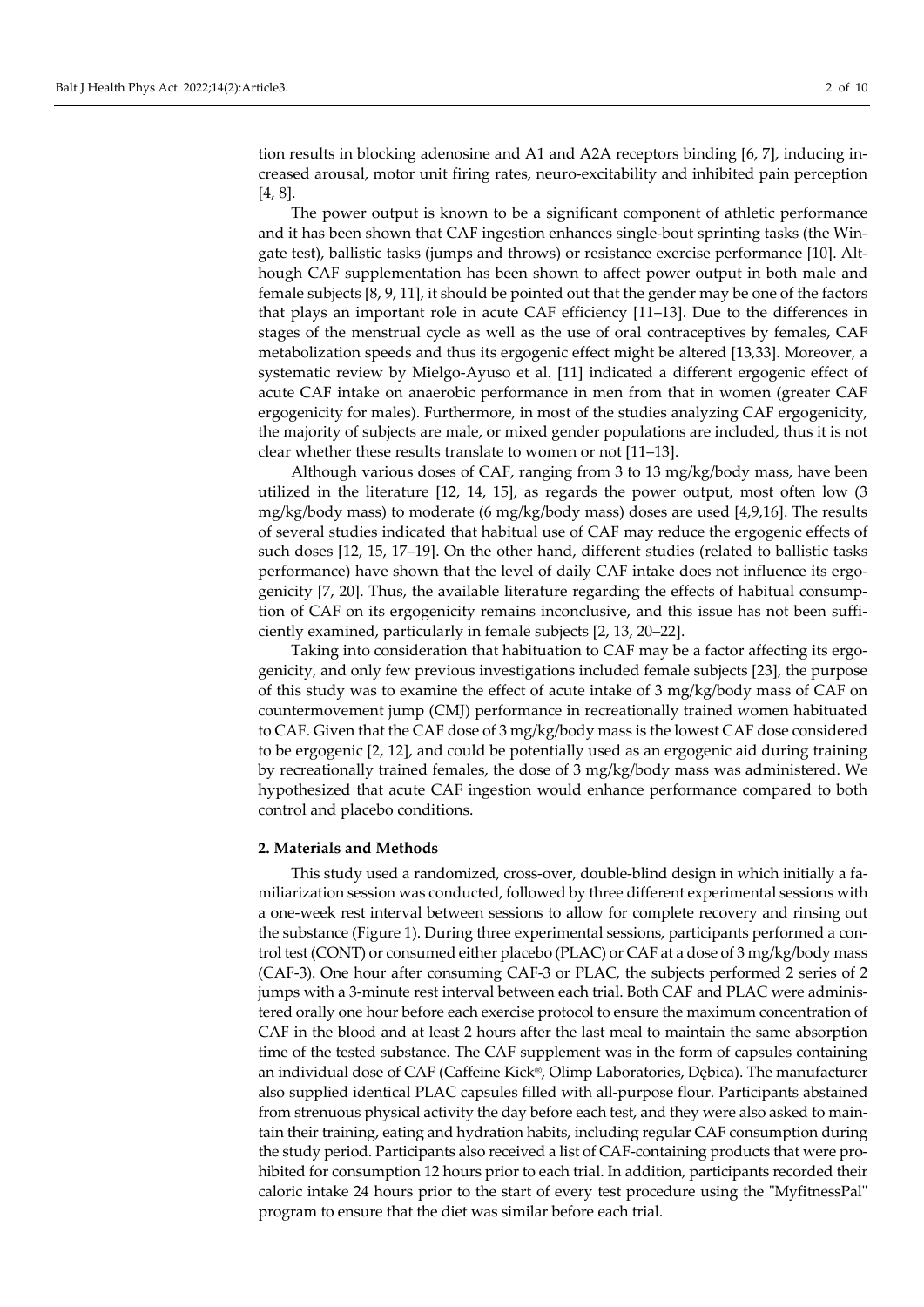tion results in blocking adenosine and A1 and A2A receptors binding [6, 7], inducing increased arousal, motor unit firing rates, neuro-excitability and inhibited pain perception [4, 8].

The power output is known to be a significant component of athletic performance and it has been shown that CAF ingestion enhances single-bout sprinting tasks (the Wingate test), ballistic tasks (jumps and throws) or resistance exercise performance [10]. Although CAF supplementation has been shown to affect power output in both male and female subjects [8, 9, 11], it should be pointed out that the gender may be one of the factors that plays an important role in acute CAF efficiency [11–13]. Due to the differences in stages of the menstrual cycle as well as the use of oral contraceptives by females, CAF metabolization speeds and thus its ergogenic effect might be altered [13,33]. Moreover, a systematic review by Mielgo-Ayuso et al. [11] indicated a different ergogenic effect of acute CAF intake on anaerobic performance in men from that in women (greater CAF ergogenicity for males). Furthermore, in most of the studies analyzing CAF ergogenicity, the majority of subjects are male, or mixed gender populations are included, thus it is not clear whether these results translate to women or not [11–13].

Although various doses of CAF, ranging from 3 to 13 mg/kg/body mass, have been utilized in the literature [12, 14, 15], as regards the power output, most often low (3 mg/kg/body mass) to moderate (6 mg/kg/body mass) doses are used [4,9,16]. The results of several studies indicated that habitual use of CAF may reduce the ergogenic effects of such doses [12, 15, 17–19]. On the other hand, different studies (related to ballistic tasks performance) have shown that the level of daily CAF intake does not influence its ergogenicity [7, 20]. Thus, the available literature regarding the effects of habitual consumption of CAF on its ergogenicity remains inconclusive, and this issue has not been sufficiently examined, particularly in female subjects [2, 13, 20–22].

Taking into consideration that habituation to CAF may be a factor affecting its ergogenicity, and only few previous investigations included female subjects [23], the purpose of this study was to examine the effect of acute intake of 3 mg/kg/body mass of CAF on countermovement jump (CMJ) performance in recreationally trained women habituated to CAF. Given that the CAF dose of 3 mg/kg/body mass is the lowest CAF dose considered to be ergogenic [2, 12], and could be potentially used as an ergogenic aid during training by recreationally trained females, the dose of 3 mg/kg/body mass was administered. We hypothesized that acute CAF ingestion would enhance performance compared to both control and placebo conditions.

#### **2. Materials and Methods**

This study used a randomized, cross-over, double-blind design in which initially a familiarization session was conducted, followed by three different experimental sessions with a one-week rest interval between sessions to allow for complete recovery and rinsing out the substance (Figure 1). During three experimental sessions, participants performed a control test (CONT) or consumed either placebo (PLAC) or CAF at a dose of 3 mg/kg/body mass (CAF-3). One hour after consuming CAF-3 or PLAC, the subjects performed 2 series of 2 jumps with a 3-minute rest interval between each trial. Both CAF and PLAC were administered orally one hour before each exercise protocol to ensure the maximum concentration of CAF in the blood and at least 2 hours after the last meal to maintain the same absorption time of the tested substance. The CAF supplement was in the form of capsules containing an individual dose of CAF (Caffeine Kick®, Olimp Laboratories, Dębica). The manufacturer also supplied identical PLAC capsules filled with all-purpose flour. Participants abstained from strenuous physical activity the day before each test, and they were also asked to maintain their training, eating and hydration habits, including regular CAF consumption during the study period. Participants also received a list of CAF-containing products that were prohibited for consumption 12 hours prior to each trial. In addition, participants recorded their caloric intake 24 hours prior to the start of every test procedure using the "MyfitnessPal" program to ensure that the diet was similar before each trial.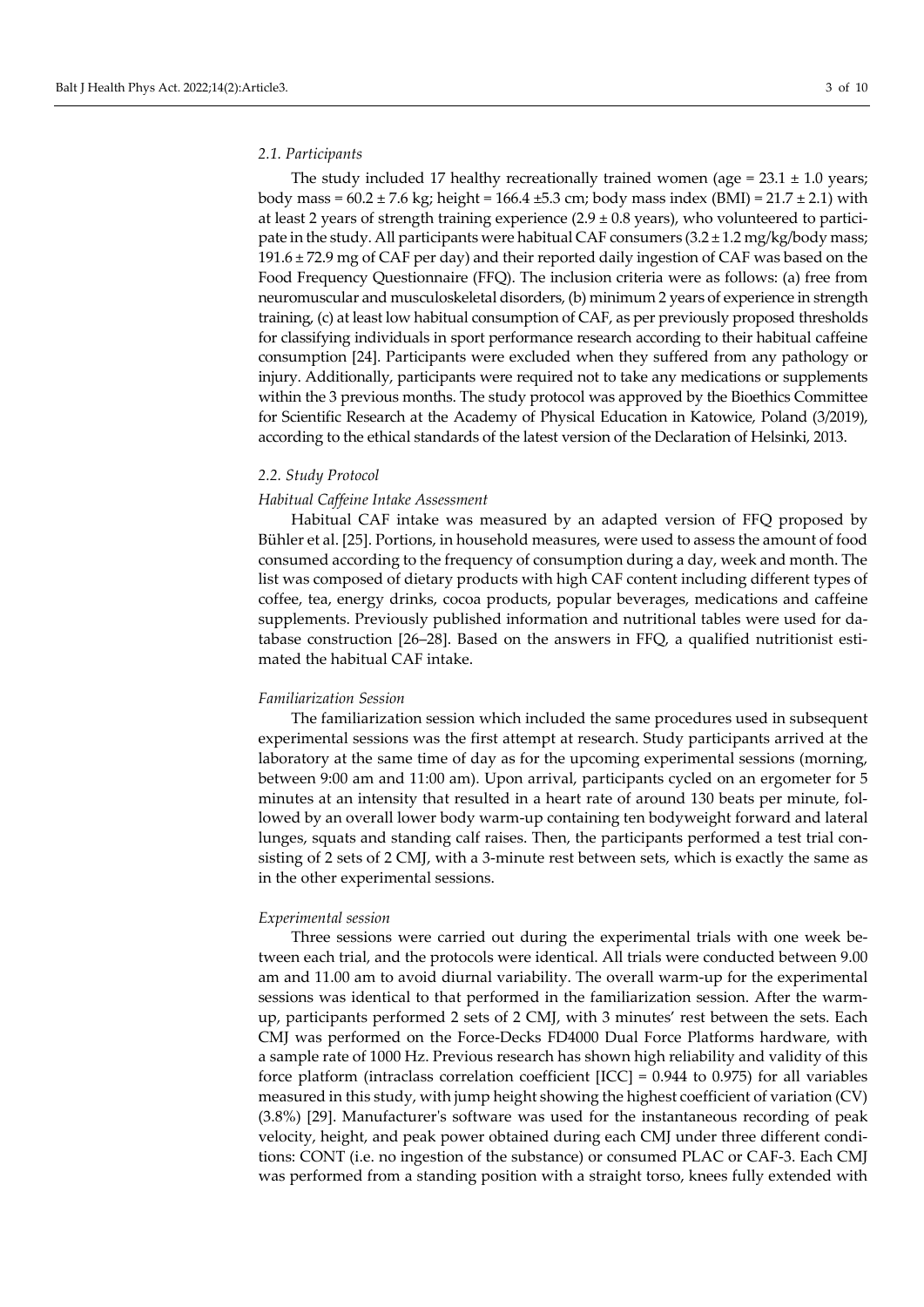#### *2.1. Participants*

The study included 17 healthy recreationally trained women (age =  $23.1 \pm 1.0$  years; body mass =  $60.2 \pm 7.6$  kg; height =  $166.4 \pm 5.3$  cm; body mass index (BMI) =  $21.7 \pm 2.1$ ) with at least 2 years of strength training experience  $(2.9 \pm 0.8$  years), who volunteered to participate in the study. All participants were habitual CAF consumers  $(3.2 \pm 1.2 \text{ mg/kg/body mass})$ 191.6 ± 72.9 mg of CAF per day) and their reported daily ingestion of CAF was based on the Food Frequency Questionnaire (FFQ). The inclusion criteria were as follows: (a) free from neuromuscular and musculoskeletal disorders, (b) minimum 2 years of experience in strength training, (c) at least low habitual consumption of CAF, as per previously proposed thresholds for classifying individuals in sport performance research according to their habitual caffeine consumption [24]. Participants were excluded when they suffered from any pathology or injury. Additionally, participants were required not to take any medications or supplements within the 3 previous months. The study protocol was approved by the Bioethics Committee for Scientific Research at the Academy of Physical Education in Katowice, Poland (3/2019), according to the ethical standards of the latest version of the Declaration of Helsinki, 2013.

#### *2.2. Study Protocol*

#### *Habitual Caffeine Intake Assessment*

Habitual CAF intake was measured by an adapted version of FFQ proposed by Bühler et al. [25]. Portions, in household measures, were used to assess the amount of food consumed according to the frequency of consumption during a day, week and month. The list was composed of dietary products with high CAF content including different types of coffee, tea, energy drinks, cocoa products, popular beverages, medications and caffeine supplements. Previously published information and nutritional tables were used for database construction [26–28]. Based on the answers in FFQ, a qualified nutritionist estimated the habitual CAF intake.

#### *Familiarization Session*

The familiarization session which included the same procedures used in subsequent experimental sessions was the first attempt at research. Study participants arrived at the laboratory at the same time of day as for the upcoming experimental sessions (morning, between 9:00 am and 11:00 am). Upon arrival, participants cycled on an ergometer for 5 minutes at an intensity that resulted in a heart rate of around 130 beats per minute, followed by an overall lower body warm-up containing ten bodyweight forward and lateral lunges, squats and standing calf raises. Then, the participants performed a test trial consisting of 2 sets of 2 CMJ, with a 3-minute rest between sets, which is exactly the same as in the other experimental sessions.

#### *Experimental session*

Three sessions were carried out during the experimental trials with one week between each trial, and the protocols were identical. All trials were conducted between 9.00 am and 11.00 am to avoid diurnal variability. The overall warm-up for the experimental sessions was identical to that performed in the familiarization session. After the warmup, participants performed 2 sets of 2 CMJ, with 3 minutes' rest between the sets. Each CMJ was performed on the Force-Decks FD4000 Dual Force Platforms hardware, with a sample rate of 1000 Hz. Previous research has shown high reliability and validity of this force platform (intraclass correlation coefficient [ICC] = 0.944 to 0.975) for all variables measured in this study, with jump height showing the highest coefficient of variation (CV) (3.8%) [29]. Manufacturer's software was used for the instantaneous recording of peak velocity, height, and peak power obtained during each CMJ under three different conditions: CONT (i.e. no ingestion of the substance) or consumed PLAC or CAF-3. Each CMJ was performed from a standing position with a straight torso, knees fully extended with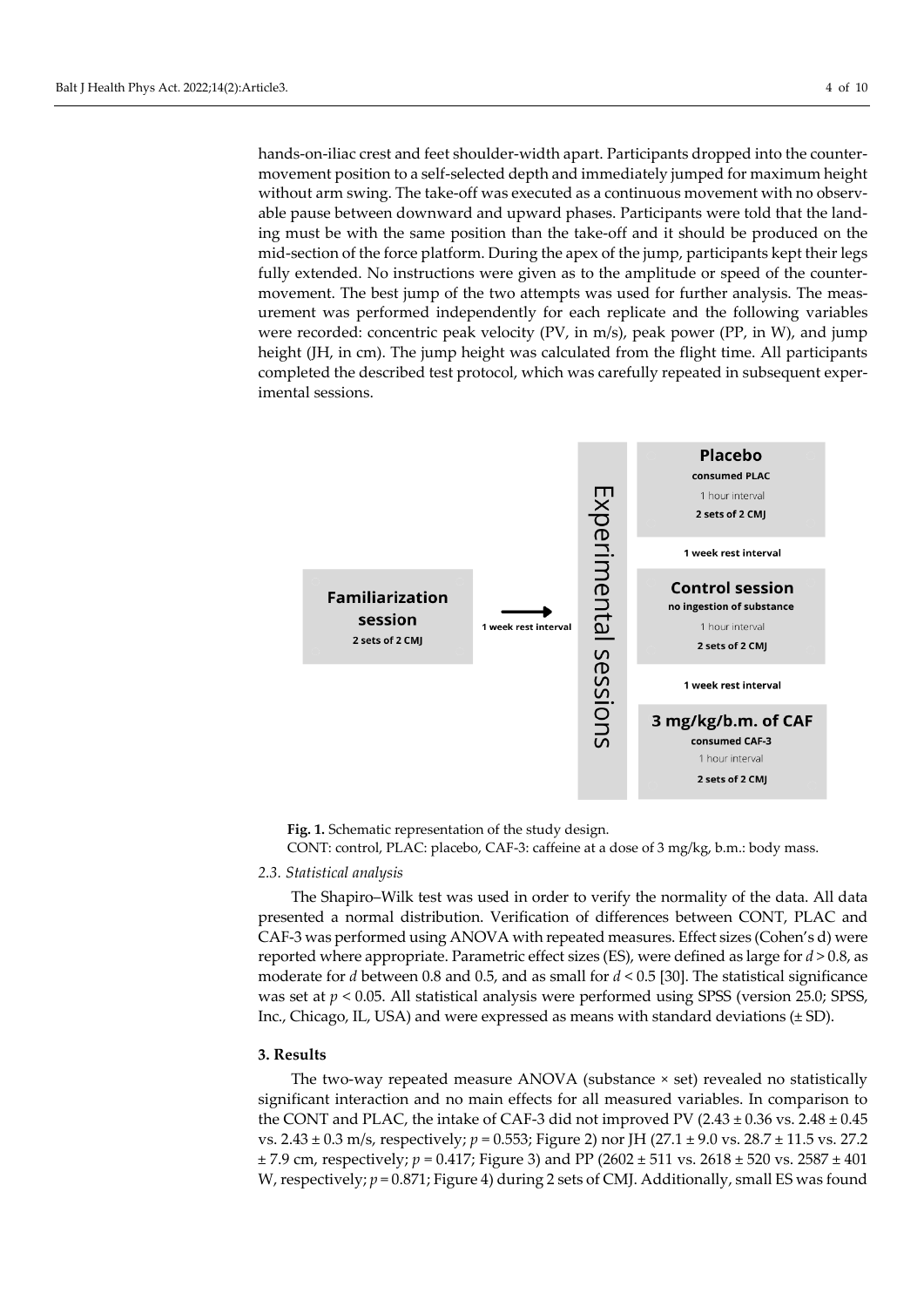hands-on-iliac crest and feet shoulder-width apart. Participants dropped into the countermovement position to a self-selected depth and immediately jumped for maximum height without arm swing. The take-off was executed as a continuous movement with no observable pause between downward and upward phases. Participants were told that the landing must be with the same position than the take-off and it should be produced on the mid-section of the force platform. During the apex of the jump, participants kept their legs fully extended. No instructions were given as to the amplitude or speed of the countermovement. The best jump of the two attempts was used for further analysis. The measurement was performed independently for each replicate and the following variables were recorded: concentric peak velocity (PV, in m/s), peak power (PP, in W), and jump height (JH, in cm). The jump height was calculated from the flight time. All participants completed the described test protocol, which was carefully repeated in subsequent experimental sessions.



**Fig. 1.** Schematic representation of the study design.

CONT: control, PLAC: placebo, CAF-3: caffeine at a dose of 3 mg/kg, b.m.: body mass.

#### *2.3. Statistical analysis*

The Shapiro–Wilk test was used in order to verify the normality of the data. All data presented a normal distribution. Verification of differences between CONT, PLAC and CAF-3 was performed using ANOVA with repeated measures. Effect sizes (Cohen's d) were reported where appropriate. Parametric effect sizes (ES), were defined as large for *d* > 0.8, as moderate for *d* between 0.8 and 0.5, and as small for *d* < 0.5 [30]. The statistical significance was set at  $p < 0.05$ . All statistical analysis were performed using SPSS (version 25.0; SPSS, Inc., Chicago, IL, USA) and were expressed as means with standard deviations (± SD).

#### **3. Results**

The two-way repeated measure ANOVA (substance × set) revealed no statistically significant interaction and no main effects for all measured variables. In comparison to the CONT and PLAC, the intake of CAF-3 did not improved PV  $(2.43 \pm 0.36 \text{ vs. } 2.48 \pm 0.45 \text{ s})$ vs. 2.43 ± 0.3 m/s, respectively; *p* = 0.553; Figure 2) nor JH (27.1 ± 9.0 vs. 28.7 ± 11.5 vs. 27.2  $\pm$  7.9 cm, respectively;  $p = 0.417$ ; Figure 3) and PP (2602  $\pm$  511 vs. 2618  $\pm$  520 vs. 2587  $\pm$  401 W, respectively;  $p = 0.871$ ; Figure 4) during 2 sets of CMJ. Additionally, small ES was found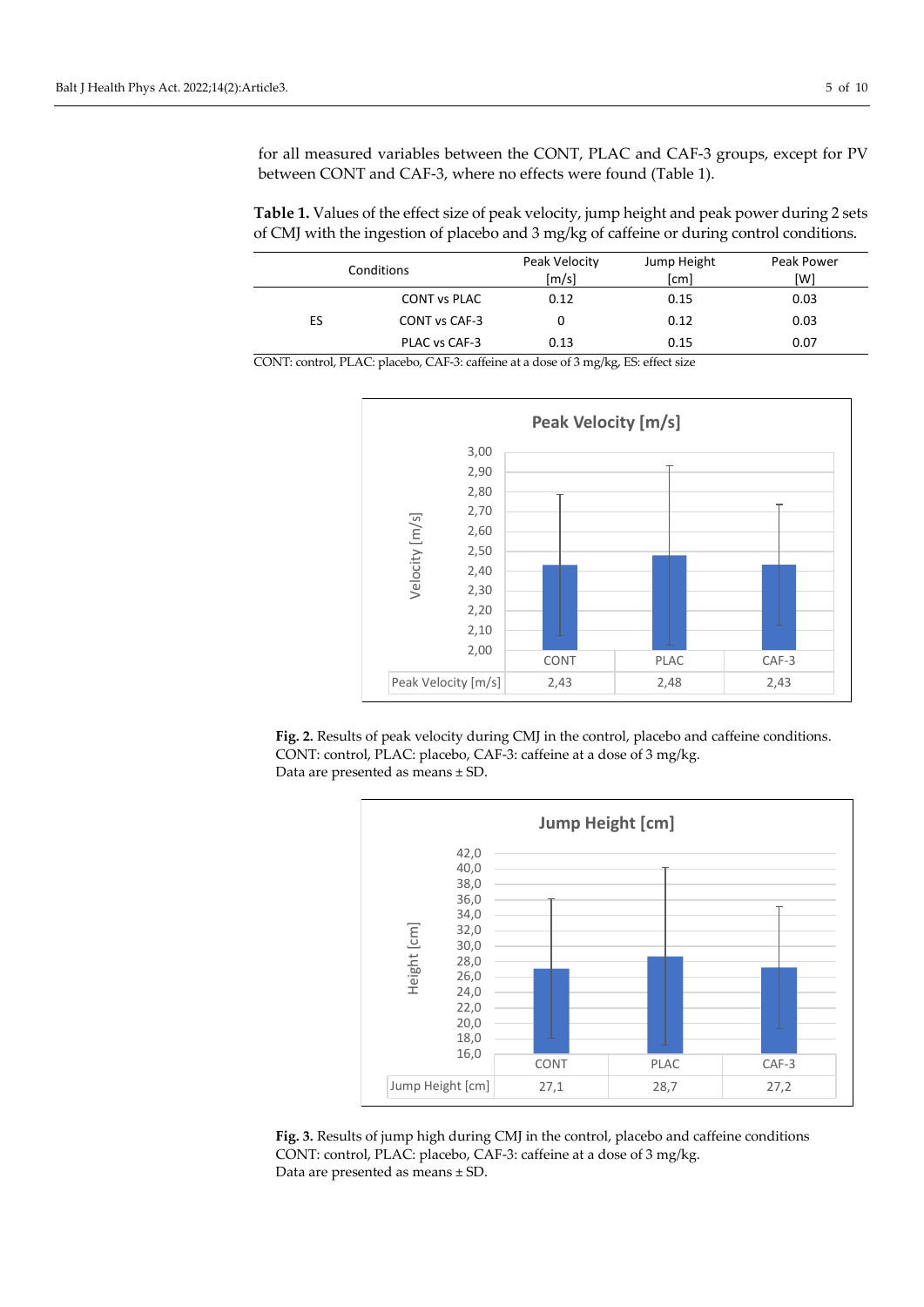for all measured variables between the CONT, PLAC and CAF-3 groups, except for PV between CONT and CAF-3, where no effects were found (Table 1).

**Table 1.** Values of the effect size of peak velocity, jump height and peak power during 2 sets of CMJ with the ingestion of placebo and 3 mg/kg of caffeine or during control conditions.

| Conditions |                     | Peak Velocity<br>$\lceil m/s \rceil$ | Jump Height<br>[cm] | Peak Power<br>[W] |
|------------|---------------------|--------------------------------------|---------------------|-------------------|
|            | <b>CONT vs PLAC</b> | 0.12                                 | 0.15                | 0.03              |
| ES         | CONT vs CAF-3       |                                      | 0.12                | 0.03              |
|            | PLAC vs CAF-3       | 0.13                                 | 0.15                | 0.07              |

CONT: control, PLAC: placebo, CAF-3: caffeine at a dose of 3 mg/kg, ES: effect size







**Fig. 3.** Results of jump high during CMJ in the control, placebo and caffeine conditions CONT: control, PLAC: placebo, CAF-3: caffeine at a dose of 3 mg/kg. Data are presented as means ± SD.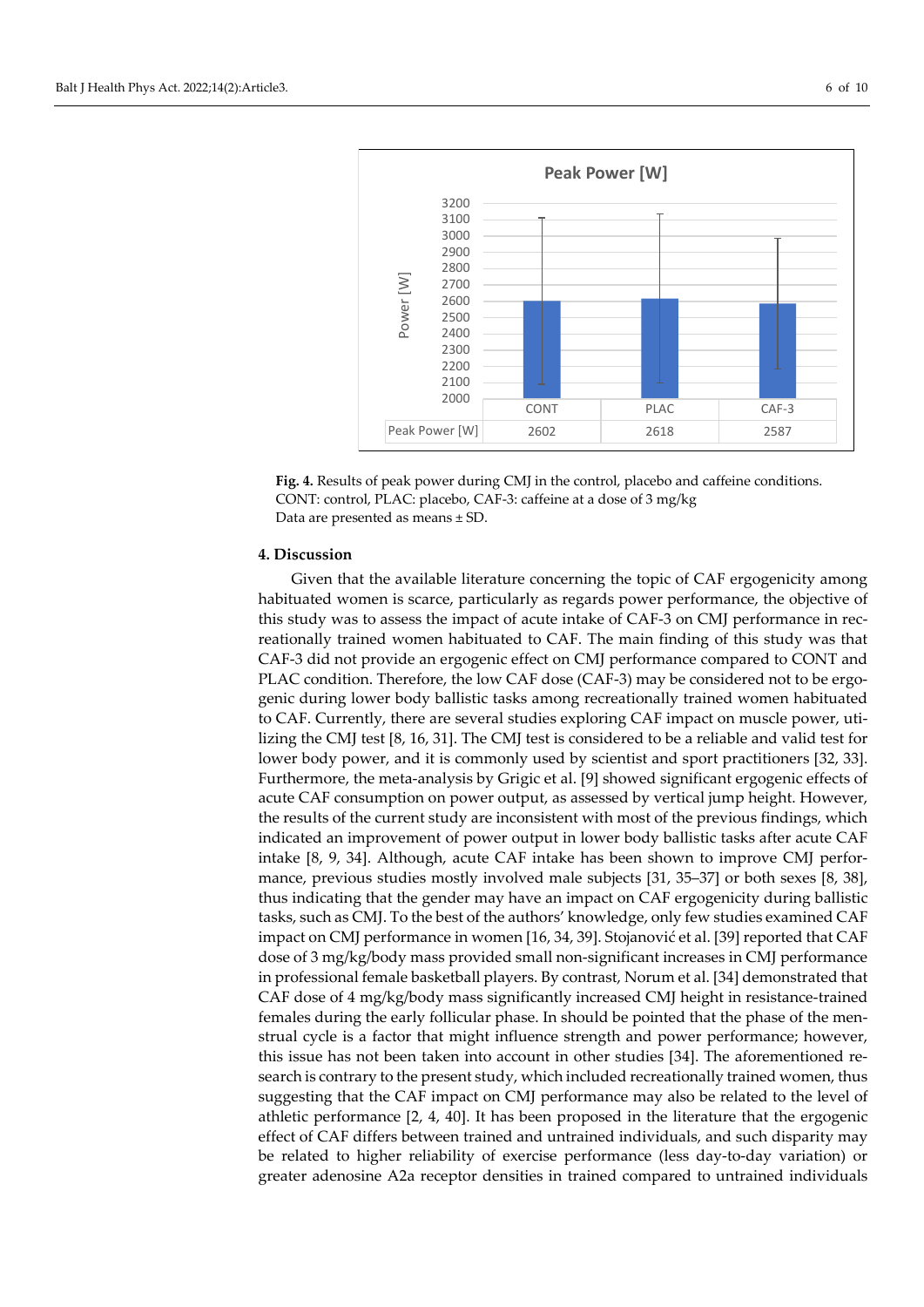



#### **4. Discussion**

Given that the available literature concerning the topic of CAF ergogenicity among habituated women is scarce, particularly as regards power performance, the objective of this study was to assess the impact of acute intake of CAF-3 on CMJ performance in recreationally trained women habituated to CAF. The main finding of this study was that CAF-3 did not provide an ergogenic effect on CMJ performance compared to CONT and PLAC condition. Therefore, the low CAF dose (CAF-3) may be considered not to be ergogenic during lower body ballistic tasks among recreationally trained women habituated to CAF. Currently, there are several studies exploring CAF impact on muscle power, utilizing the CMJ test [8, 16, 31]. The CMJ test is considered to be a reliable and valid test for lower body power, and it is commonly used by scientist and sport practitioners [32, 33]. Furthermore, the meta-analysis by Grigic et al. [9] showed significant ergogenic effects of acute CAF consumption on power output, as assessed by vertical jump height. However, the results of the current study are inconsistent with most of the previous findings, which indicated an improvement of power output in lower body ballistic tasks after acute CAF intake [8, 9, 34]. Although, acute CAF intake has been shown to improve CMJ performance, previous studies mostly involved male subjects [31, 35–37] or both sexes [8, 38], thus indicating that the gender may have an impact on CAF ergogenicity during ballistic tasks, such as CMJ. To the best of the authors' knowledge, only few studies examined CAF impact on CMJ performance in women [16, 34, 39]. Stojanović et al. [39] reported that CAF dose of 3 mg/kg/body mass provided small non-significant increases in CMJ performance in professional female basketball players. By contrast, Norum et al. [34] demonstrated that CAF dose of 4 mg/kg/body mass significantly increased CMJ height in resistance-trained females during the early follicular phase. In should be pointed that the phase of the menstrual cycle is a factor that might influence strength and power performance; however, this issue has not been taken into account in other studies [34]. The aforementioned research is contrary to the present study, which included recreationally trained women, thus suggesting that the CAF impact on CMJ performance may also be related to the level of athletic performance [2, 4, 40]. It has been proposed in the literature that the ergogenic effect of CAF differs between trained and untrained individuals, and such disparity may be related to higher reliability of exercise performance (less day-to-day variation) or greater adenosine A2a receptor densities in trained compared to untrained individuals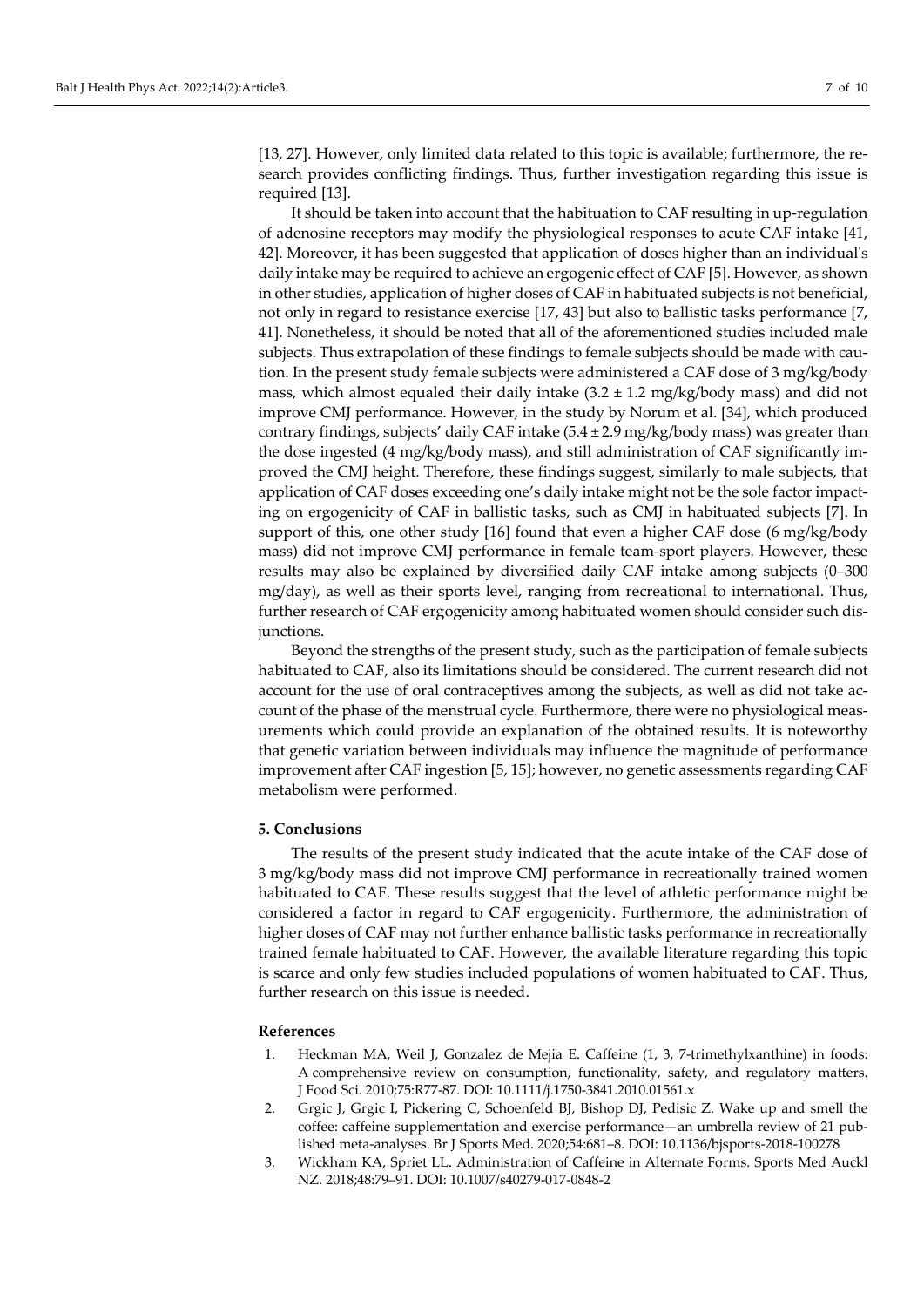[13, 27]. However, only limited data related to this topic is available; furthermore, the research provides conflicting findings. Thus, further investigation regarding this issue is required [13].

It should be taken into account that the habituation to CAF resulting in up-regulation of adenosine receptors may modify the physiological responses to acute CAF intake [41, 42]. Moreover, it has been suggested that application of doses higher than an individual's daily intake may be required to achieve an ergogenic effect of CAF [5]. However, as shown in other studies, application of higher doses of CAF in habituated subjects is not beneficial, not only in regard to resistance exercise [17, 43] but also to ballistic tasks performance [7, 41]. Nonetheless, it should be noted that all of the aforementioned studies included male subjects. Thus extrapolation of these findings to female subjects should be made with caution. In the present study female subjects were administered a CAF dose of 3 mg/kg/body mass, which almost equaled their daily intake  $(3.2 \pm 1.2 \text{ mg/kg/body mass})$  and did not improve CMJ performance. However, in the study by Norum et al. [34], which produced contrary findings, subjects' daily CAF intake  $(5.4 \pm 2.9 \text{ mg/kg/body mass})$  was greater than the dose ingested (4 mg/kg/body mass), and still administration of CAF significantly improved the CMJ height. Therefore, these findings suggest, similarly to male subjects, that application of CAF doses exceeding one's daily intake might not be the sole factor impacting on ergogenicity of CAF in ballistic tasks, such as CMJ in habituated subjects [7]. In support of this, one other study [16] found that even a higher CAF dose (6 mg/kg/body mass) did not improve CMJ performance in female team-sport players. However, these results may also be explained by diversified daily CAF intake among subjects (0–300 mg/day), as well as their sports level, ranging from recreational to international. Thus, further research of CAF ergogenicity among habituated women should consider such disjunctions.

Beyond the strengths of the present study, such as the participation of female subjects habituated to CAF, also its limitations should be considered. The current research did not account for the use of oral contraceptives among the subjects, as well as did not take account of the phase of the menstrual cycle. Furthermore, there were no physiological measurements which could provide an explanation of the obtained results. It is noteworthy that genetic variation between individuals may influence the magnitude of performance improvement after CAF ingestion [5, 15]; however, no genetic assessments regarding CAF metabolism were performed.

#### **5. Conclusions**

The results of the present study indicated that the acute intake of the CAF dose of 3 mg/kg/body mass did not improve CMJ performance in recreationally trained women habituated to CAF. These results suggest that the level of athletic performance might be considered a factor in regard to CAF ergogenicity. Furthermore, the administration of higher doses of CAF may not further enhance ballistic tasks performance in recreationally trained female habituated to CAF. However, the available literature regarding this topic is scarce and only few studies included populations of women habituated to CAF. Thus, further research on this issue is needed.

#### **References**

- 1. Heckman MA, Weil J, Gonzalez de Mejia E. Caffeine (1, 3, 7-trimethylxanthine) in foods: A comprehensive review on consumption, functionality, safety, and regulatory matters. J Food Sci. 2010;75:R77-87. DOI: [10.1111/j.1750-3841.2010.01561.x](https://doi.org/10.1111/j.1750-3841.2010.01561.x)
- 2. Grgic J, Grgic I, Pickering C, Schoenfeld BJ, Bishop DJ, Pedisic Z. Wake up and smell the coffee: caffeine supplementation and exercise performance—an umbrella review of 21 published meta-analyses. Br J Sports Med. 2020;54:681–8. DOI: [10.1136/bjsports-2018-100278](https://doi.org/10.1136/bjsports-2018-100278)
- 3. Wickham KA, Spriet LL. Administration of Caffeine in Alternate Forms. Sports Med Auckl NZ. 2018;48:79–91. DOI: [10.1007/s40279-017-0848-2](https://doi.org/10.1007/s40279-017-0848-2)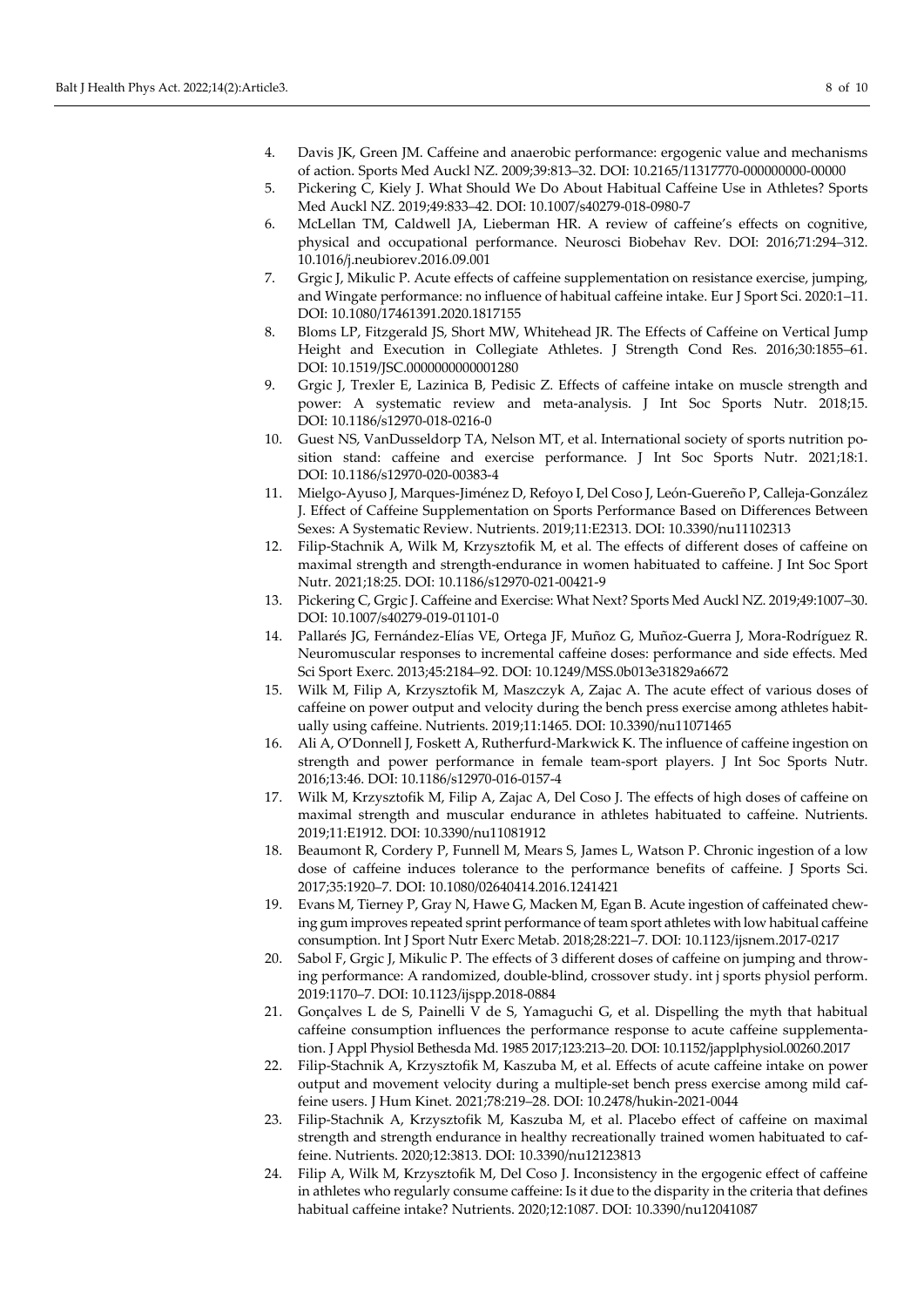- 4. Davis JK, Green JM. Caffeine and anaerobic performance: ergogenic value and mechanisms of action. Sports Med Auckl NZ. 2009;39:813–32. DOI: [10.2165/11317770-000000000-00000](https://doi.org/10.2165/11317770-000000000-00000)
- 5. Pickering C, Kiely J. What Should We Do About Habitual Caffeine Use in Athletes? Sports Med Auckl NZ. 2019;49:833–42. DOI: [10.1007/s40279-018-0980-7](https://doi.org/10.1007/s40279-018-0980-7)
- 6. McLellan TM, Caldwell JA, Lieberman HR. A review of caffeine's effects on cognitive, physical and occupational performance. Neurosci Biobehav Rev. DOI: 2016;71:294–312. [10.1016/j.neubiorev.2016.09.001](https://doi.org/10.1016/j.neubiorev.2016.09.001)
- 7. Grgic J, Mikulic P. Acute effects of caffeine supplementation on resistance exercise, jumping, and Wingate performance: no influence of habitual caffeine intake. Eur J Sport Sci. 2020:1–11. DOI[: 10.1080/17461391.2020.1817155](https://doi.org/10.1080/17461391.2020.1817155)
- 8. Bloms LP, Fitzgerald JS, Short MW, Whitehead JR. The Effects of Caffeine on Vertical Jump Height and Execution in Collegiate Athletes. J Strength Cond Res. 2016;30:1855–61. DOI[: 10.1519/JSC.0000000000001280](https://doi.org/10.1519/JSC.0000000000001280)
- 9. Grgic J, Trexler E, Lazinica B, Pedisic Z. Effects of caffeine intake on muscle strength and power: A systematic review and meta-analysis. J Int Soc Sports Nutr. 2018;15. DOI[: 10.1186/s12970-018-0216-0](https://doi.org/10.1186/s12970-018-0216-0)
- 10. Guest NS, VanDusseldorp TA, Nelson MT, et al. International society of sports nutrition position stand: caffeine and exercise performance. J Int Soc Sports Nutr. 2021;18:1. DOI[: 10.1186/s12970-020-00383-4](https://doi.org/10.1186/s12970-020-00383-4)
- 11. Mielgo-Ayuso J, Marques-Jiménez D, Refoyo I, Del Coso J, León-Guereño P, Calleja-González J. Effect of Caffeine Supplementation on Sports Performance Based on Differences Between Sexes: A Systematic Review. Nutrients. 2019;11:E2313. DOI: [10.3390/nu11102313](https://doi.org/10.3390/nu11102313)
- 12. Filip-Stachnik A, Wilk M, Krzysztofik M, et al. The effects of different doses of caffeine on maximal strength and strength-endurance in women habituated to caffeine. J Int Soc Sport Nutr. 2021;18:25. DOI[: 10.1186/s12970-021-00421-9](https://doi.org/10.1186/s12970-021-00421-9)
- 13. Pickering C, Grgic J. Caffeine and Exercise: What Next? Sports Med Auckl NZ. 2019;49:1007–30. DOI[: 10.1007/s40279-019-01101-0](https://doi.org/10.1007/s40279-019-01101-0)
- 14. Pallarés JG, Fernández-Elías VE, Ortega JF, Muñoz G, Muñoz-Guerra J, Mora-Rodríguez R. Neuromuscular responses to incremental caffeine doses: performance and side effects. Med Sci Sport Exerc. 2013;45:2184–92. DOI: [10.1249/MSS.0b013e31829a6672](https://doi.org/10.1249/MSS.0b013e31829a6672)
- 15. Wilk M, Filip A, Krzysztofik M, Maszczyk A, Zajac A. The acute effect of various doses of caffeine on power output and velocity during the bench press exercise among athletes habitually using caffeine. Nutrients. 2019;11:1465. DOI: [10.3390/nu11071465](https://doi.org/10.3390/nu11071465)
- 16. Ali A, O'Donnell J, Foskett A, Rutherfurd-Markwick K. The influence of caffeine ingestion on strength and power performance in female team-sport players. J Int Soc Sports Nutr. 2016;13:46. DOI: [10.1186/s12970-016-0157-4](https://doi.org/10.1186/s12970-016-0157-4)
- 17. Wilk M, Krzysztofik M, Filip A, Zajac A, Del Coso J. The effects of high doses of caffeine on maximal strength and muscular endurance in athletes habituated to caffeine. Nutrients. 2019;11:E1912. DOI: [10.3390/nu11081912](https://doi.org/10.3390/nu11081912)
- 18. Beaumont R, Cordery P, Funnell M, Mears S, James L, Watson P. Chronic ingestion of a low dose of caffeine induces tolerance to the performance benefits of caffeine. J Sports Sci. 2017;35:1920–7. DOI[: 10.1080/02640414.2016.1241421](https://doi.org/10.1080/02640414.2016.1241421)
- 19. Evans M, Tierney P, Gray N, Hawe G, Macken M, Egan B. Acute ingestion of caffeinated chewing gum improves repeated sprint performance of team sport athletes with low habitual caffeine consumption. Int J Sport Nutr Exerc Metab. 2018;28:221–7. DOI[: 10.1123/ijsnem.2017-0217](https://doi.org/10.1123/ijsnem.2017-0217)
- 20. Sabol F, Grgic J, Mikulic P. The effects of 3 different doses of caffeine on jumping and throwing performance: A randomized, double-blind, crossover study. int j sports physiol perform. 2019:1170–7. DOI[: 10.1123/ijspp.2018-0884](https://doi.org/10.1123/ijspp.2018-0884)
- 21. Gonçalves L de S, Painelli V de S, Yamaguchi G, et al. Dispelling the myth that habitual caffeine consumption influences the performance response to acute caffeine supplementation. J Appl Physiol Bethesda Md. 1985 2017;123:213–20. DOI[: 10.1152/japplphysiol.00260.2017](https://doi.org/10.1152/japplphysiol.00260.2017)
- 22. Filip-Stachnik A, Krzysztofik M, Kaszuba M, et al. Effects of acute caffeine intake on power output and movement velocity during a multiple-set bench press exercise among mild caffeine users. J Hum Kinet. 2021;78:219–28. DOI: [10.2478/hukin-2021-0044](https://doi.org/10.2478/hukin-2021-0044)
- 23. Filip-Stachnik A, Krzysztofik M, Kaszuba M, et al. Placebo effect of caffeine on maximal strength and strength endurance in healthy recreationally trained women habituated to caffeine. Nutrients. 2020;12:3813. DOI: [10.3390/nu12123813](https://doi.org/10.3390/nu12123813)
- 24. Filip A, Wilk M, Krzysztofik M, Del Coso J. Inconsistency in the ergogenic effect of caffeine in athletes who regularly consume caffeine: Is it due to the disparity in the criteria that defines habitual caffeine intake? Nutrients. 2020;12:1087. DOI[: 10.3390/nu12041087](https://doi.org/10.3390/nu12041087)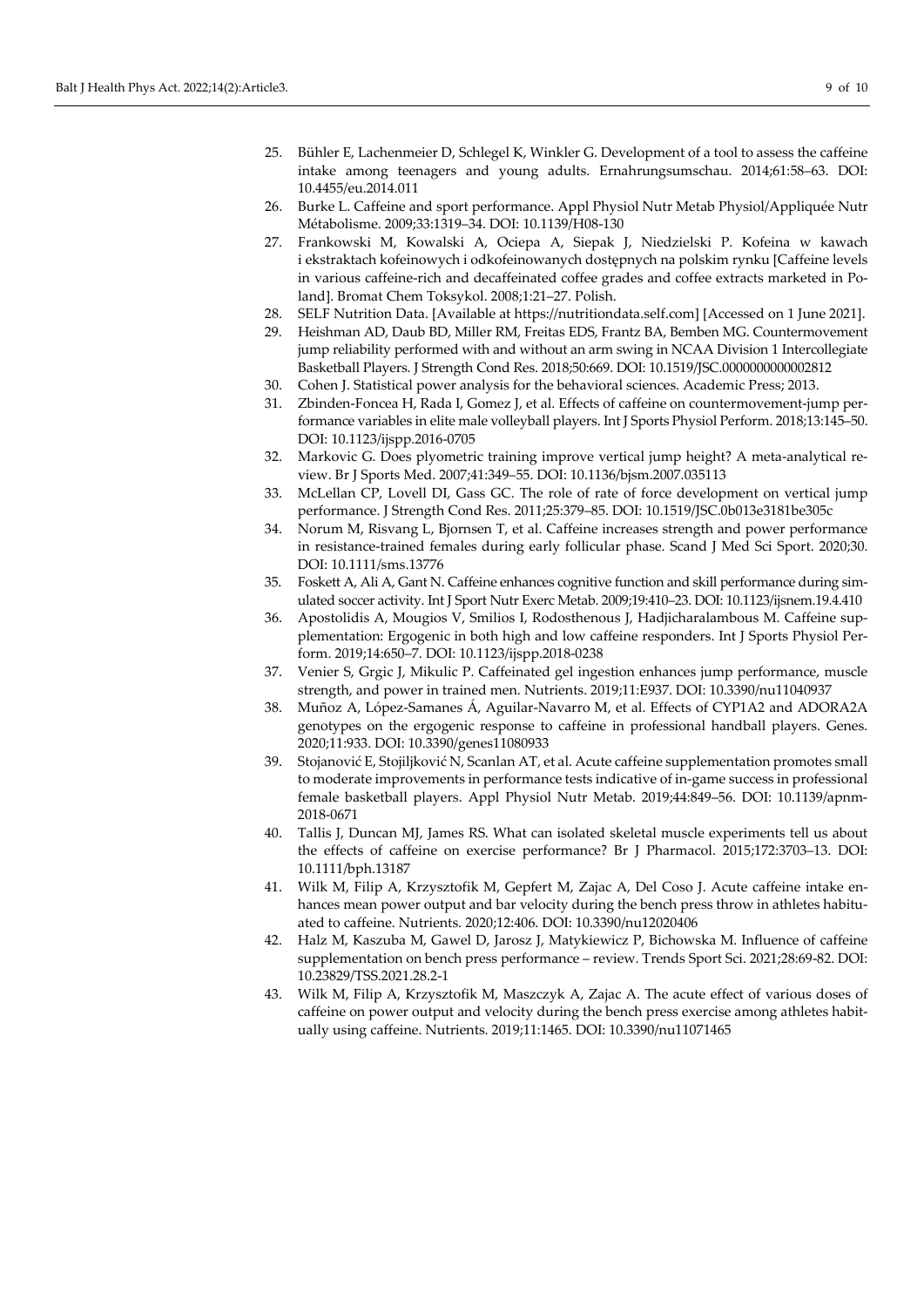- 25. Bühler E, Lachenmeier D, Schlegel K, Winkler G. Development of a tool to assess the caffeine intake among teenagers and young adults. Ernahrungsumschau. 2014;61:58–63. DOI: [10.4455/eu.2014.011](https://doi.org/10.4455/eu.2014.011)
- 26. Burke L. Caffeine and sport performance. Appl Physiol Nutr Metab Physiol/Appliquée Nutr Métabolisme. 2009;33:1319–34. DOI: [10.1139/H08-130](https://doi.org/10.1139/H08-130)
- 27. Frankowski M, Kowalski A, Ociepa A, Siepak J, Niedzielski P. Kofeina w kawach i ekstraktach kofeinowych i odkofeinowanych dostępnych na polskim rynku [Caffeine levels in various caffeine-rich and decaffeinated coffee grades and coffee extracts marketed in Poland]. Bromat Chem Toksykol. 2008;1:21–27. Polish.
- 28. SELF Nutrition Data. [Available at https://nutritiondata.self.com] [Accessed on 1 June 2021].
- 29. Heishman AD, Daub BD, Miller RM, Freitas EDS, Frantz BA, Bemben MG. Countermovement jump reliability performed with and without an arm swing in NCAA Division 1 Intercollegiate Basketball Players. J Strength Cond Res. 2018;50:669. DOI[: 10.1519/JSC.0000000000002812](https://doi.org/10.1519/JSC.0000000000002812)
- 30. Cohen J. Statistical power analysis for the behavioral sciences. Academic Press; 2013.
- 31. Zbinden-Foncea H, Rada I, Gomez J, et al. Effects of caffeine on countermovement-jump performance variables in elite male volleyball players. Int J Sports Physiol Perform. 2018;13:145–50. DOI: [10.1123/ijspp.2016-0705](https://doi.org/10.1123/ijspp.2016-0705)
- 32. Markovic G. Does plyometric training improve vertical jump height? A meta-analytical review. Br J Sports Med. 2007;41:349–55. DOI: [10.1136/bjsm.2007.035113](https://doi.org/10.1136/bjsm.2007.035113)
- 33. McLellan CP, Lovell DI, Gass GC. The role of rate of force development on vertical jump performance. J Strength Cond Res. 2011;25:379–85. DOI: [10.1519/JSC.0b013e3181be305c](https://doi.org/10.1519/JSC.0b013e3181be305c)
- 34. Norum M, Risvang L, Bjornsen T, et al. Caffeine increases strength and power performance in resistance-trained females during early follicular phase. Scand J Med Sci Sport. 2020;30. DOI[: 10.1111/sms.13776](https://doi.org/10.1111/sms.13776)
- 35. Foskett A, Ali A, Gant N. Caffeine enhances cognitive function and skill performance during simulated soccer activity. Int J Sport Nutr Exerc Metab. 2009;19:410–23. DOI[: 10.1123/ijsnem.19.4.410](https://doi.org/10.1123/ijsnem.19.4.410)
- 36. Apostolidis A, Mougios V, Smilios I, Rodosthenous J, Hadjicharalambous M. Caffeine supplementation: Ergogenic in both high and low caffeine responders. Int J Sports Physiol Perform. 2019;14:650–7. DOI: [10.1123/ijspp.2018-0238](https://doi.org/10.1123/ijspp.2018-0238)
- 37. Venier S, Grgic J, Mikulic P. Caffeinated gel ingestion enhances jump performance, muscle strength, and power in trained men. Nutrients. 2019;11:E937. DOI: [10.3390/nu11040937](https://doi.org/10.3390/nu11040937)
- 38. Muñoz A, López-Samanes Á, Aguilar-Navarro M, et al. Effects of CYP1A2 and ADORA2A genotypes on the ergogenic response to caffeine in professional handball players. Genes. 2020;11:933. DOI: [10.3390/genes11080933](https://doi.org/10.3390/genes11080933)
- 39. Stojanović E, Stojiljković N, Scanlan AT, et al. Acute caffeine supplementation promotes small to moderate improvements in performance tests indicative of in-game success in professional female basketball players. Appl Physiol Nutr Metab. 2019;44:849–56. DOI: [10.1139/apnm-](https://doi.org/10.1139/apnm-2018-0671)[2018-0671](https://doi.org/10.1139/apnm-2018-0671)
- 40. Tallis J, Duncan MJ, James RS. What can isolated skeletal muscle experiments tell us about the effects of caffeine on exercise performance? Br J Pharmacol. 2015;172:3703–13. DOI: [10.1111/bph.13187](https://doi.org/10.1111/bph.13187)
- 41. Wilk M, Filip A, Krzysztofik M, Gepfert M, Zajac A, Del Coso J. Acute caffeine intake enhances mean power output and bar velocity during the bench press throw in athletes habituated to caffeine. Nutrients. 2020;12:406. DOI: [10.3390/nu12020406](https://doi.org/10.3390/nu12020406)
- 42. Halz M, Kaszuba M, Gawel D, Jarosz J, Matykiewicz P, Bichowska M. Influence of caffeine supplementation on bench press performance – review. Trends Sport Sci. 2021;28:69-82. DOI: [10.23829/TSS.2021.28.2-1](https://doi.org/10.23829/TSS.2021.28.2-1)
- 43. Wilk M, Filip A, Krzysztofik M, Maszczyk A, Zajac A. The acute effect of various doses of caffeine on power output and velocity during the bench press exercise among athletes habitually using caffeine. Nutrients. 2019;11:1465. DOI: [10.3390/nu11071465](https://doi.org/10.3390/nu11071465)